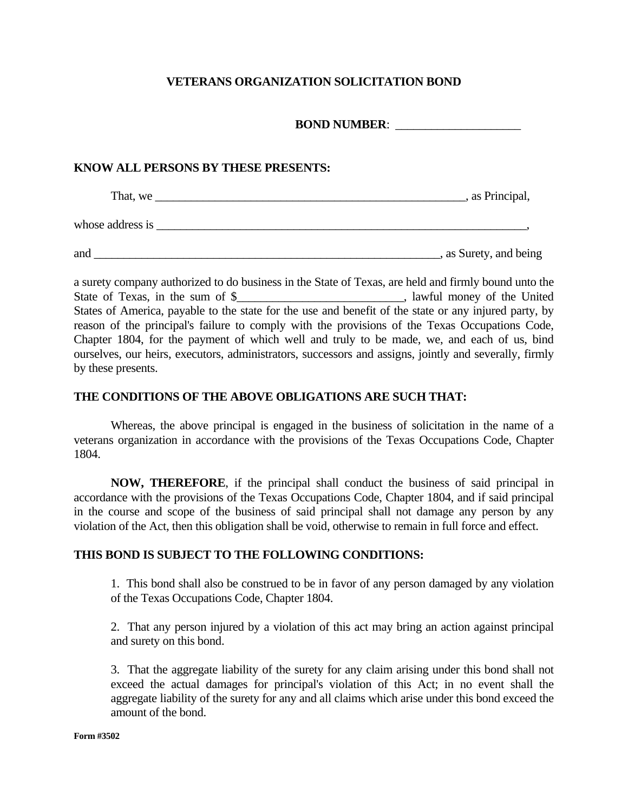## **VETERANS ORGANIZATION SOLICITATION BOND**

**BOND NUMBER:** 

## **KNOW ALL PERSONS BY THESE PRESENTS:**

| That, we         | , as Principal,        |
|------------------|------------------------|
| whose address is |                        |
| and              | , as Surety, and being |

a surety company authorized to do business in the State of Texas, are held and firmly bound unto the State of Texas, in the sum of \$ \_\_\_\_\_\_\_\_\_\_\_\_\_\_\_\_\_\_\_\_\_\_\_\_\_\_\_\_\_, lawful money of the United States of America, payable to the state for the use and benefit of the state or any injured party, by reason of the principal's failure to comply with the provisions of the Texas Occupations Code, Chapter 1804, for the payment of which well and truly to be made, we, and each of us, bind ourselves, our heirs, executors, administrators, successors and assigns, jointly and severally, firmly by these presents.

## **THE CONDITIONS OF THE ABOVE OBLIGATIONS ARE SUCH THAT:**

Whereas, the above principal is engaged in the business of solicitation in the name of a veterans organization in accordance with the provisions of the Texas Occupations Code, Chapter 1804.

 **NOW, THEREFORE**, if the principal shall conduct the business of said principal in accordance with the provisions of the Texas Occupations Code, Chapter 1804, and if said principal in the course and scope of the business of said principal shall not damage any person by any violation of the Act, then this obligation shall be void, otherwise to remain in full force and effect.

## **THIS BOND IS SUBJECT TO THE FOLLOWING CONDITIONS:**

1. This bond shall also be construed to be in favor of any person damaged by any violation of the Texas Occupations Code, Chapter 1804.

2. That any person injured by a violation of this act may bring an action against principal and surety on this bond.

3. That the aggregate liability of the surety for any claim arising under this bond shall not exceed the actual damages for principal's violation of this Act; in no event shall the aggregate liability of the surety for any and all claims which arise under this bond exceed the amount of the bond.